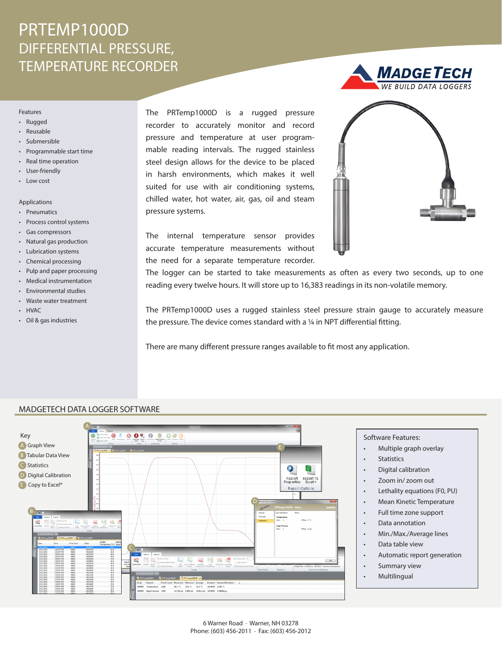# PRTEMP1000D DIFFERENTIAL PRESSURE, TEMPERATURE RECORDER

#### Features

- Rugged
- Reusable
- Submersible
- Programmable start time
- Real time operation
- User-friendly
- Low cost

### Applications

- Pneumatics
- Process control systems
- Gas compressors
- Natural gas production
- Lubrication systems
- Chemical processing
- Pulp and paper processing
- Medical instrumentation
- Environmental studies
- Waste water treatment
- HVAC
- Oil & gas industries

The PRTemp1000D is a rugged pressure recorder to accurately monitor and record pressure and temperature at user programmable reading intervals. The rugged stainless steel design allows for the device to be placed in harsh environments, which makes it well suited for use with air conditioning systems, chilled water, hot water, air, gas, oil and steam pressure systems.



The internal temperature sensor provides accurate temperature measurements without the need for a separate temperature recorder.

The logger can be started to take measurements as often as every two seconds, up to one reading every twelve hours. It will store up to 16,383 readings in its non-volatile memory.

The PRTemp1000D uses a rugged stainless steel pressure strain gauge to accurately measure the pressure. The device comes standard with a ¼ in NPT differential fitting.

There are many different pressure ranges available to fit most any application.



### MADGETECH DATA LOGGER SOFTWARE

- Software Features:
- Multiple graph overlay
- **Statistics**
- Digital calibration
- Zoom in/ zoom out
- Lethality equations (F0, PU)
- Mean Kinetic Temperature
- Full time zone support
- Data annotation
- Min./Max./Average lines
- Data table view
- Automatic report generation
- Summary view
- Multilingual